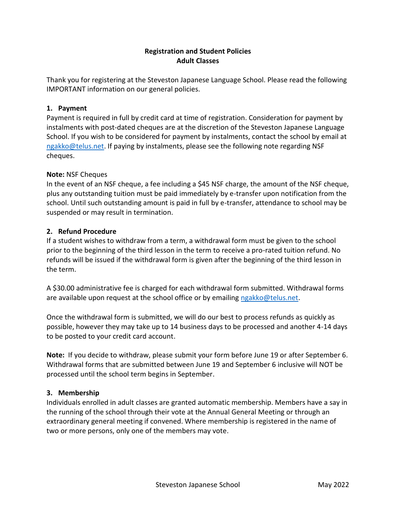# **Registration and Student Policies Adult Classes**

Thank you for registering at the Steveston Japanese Language School. Please read the following IMPORTANT information on our general policies.

### **1. Payment**

Payment is required in full by credit card at time of registration. Consideration for payment by instalments with post-dated cheques are at the discretion of the Steveston Japanese Language School. If you wish to be considered for payment by instalments, contact the school by email at [ngakko@telus.net.](mailto:ngakko@telus.net) If paying by instalments, please see the following note regarding NSF cheques.

### **Note:** NSF Cheques

In the event of an NSF cheque, a fee including a \$45 NSF charge, the amount of the NSF cheque, plus any outstanding tuition must be paid immediately by e-transfer upon notification from the school. Until such outstanding amount is paid in full by e-transfer, attendance to school may be suspended or may result in termination.

### **2. Refund Procedure**

If a student wishes to withdraw from a term, a withdrawal form must be given to the school prior to the beginning of the third lesson in the term to receive a pro-rated tuition refund. No refunds will be issued if the withdrawal form is given after the beginning of the third lesson in the term.

A \$30.00 administrative fee is charged for each withdrawal form submitted. Withdrawal forms are available upon request at the school office or by emailing [ngakko@telus.net.](mailto:ngakko@telus.net)

Once the withdrawal form is submitted, we will do our best to process refunds as quickly as possible, however they may take up to 14 business days to be processed and another 4-14 days to be posted to your credit card account.

**Note:** If you decide to withdraw, please submit your form before June 19 or after September 6. Withdrawal forms that are submitted between June 19 and September 6 inclusive will NOT be processed until the school term begins in September.

### **3. Membership**

Individuals enrolled in adult classes are granted automatic membership. Members have a say in the running of the school through their vote at the Annual General Meeting or through an extraordinary general meeting if convened. Where membership is registered in the name of two or more persons, only one of the members may vote.